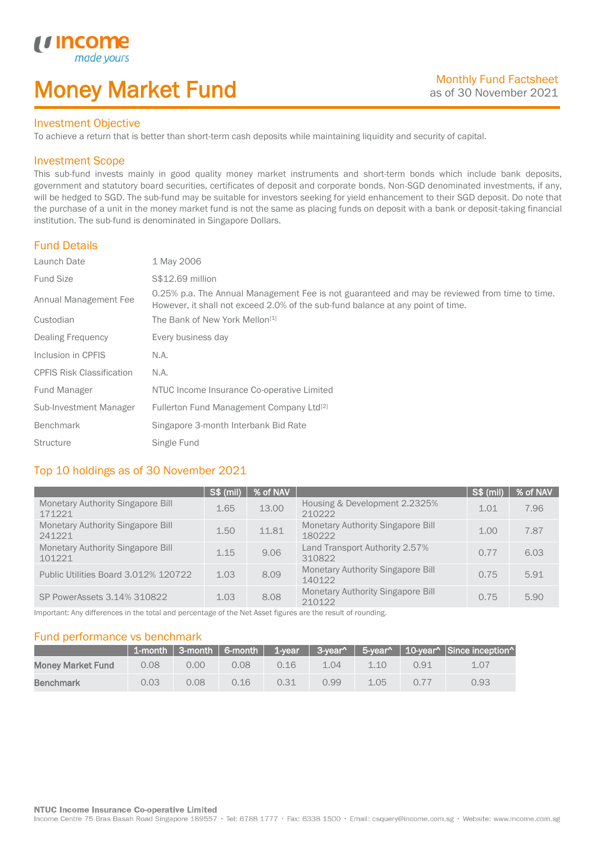# Money Market Fund

### Investment Objective

made yo

*u* incom

I

To achieve a return that is better than short-term cash deposits while maintaining liquidity and security of capital.

### Investment Scope

This sub-fund invests mainly in good quality money market instruments and short-term bonds which include bank deposits, government and statutory board securities, certificates of deposit and corporate bonds. Non-SGD denominated investments, if any, will be hedged to SGD. The sub-fund may be suitable for investors seeking for yield enhancement to their SGD deposit. Do note that the purchase of a unit in the money market fund is not the same as placing funds on deposit with a bank or deposit-taking financial institution. The sub-fund is denominated in Singapore Dollars.

### Fund Details

| Launch Date                      | 1 May 2006                                                                                                                                                                       |
|----------------------------------|----------------------------------------------------------------------------------------------------------------------------------------------------------------------------------|
| <b>Fund Size</b>                 | S\$12.69 million                                                                                                                                                                 |
| Annual Management Fee            | 0.25% p.a. The Annual Management Fee is not guaranteed and may be reviewed from time to time.<br>However, it shall not exceed 2.0% of the sub-fund balance at any point of time. |
| Custodian                        | The Bank of New York Mellon <sup>[1]</sup>                                                                                                                                       |
| Dealing Frequency                | Every business day                                                                                                                                                               |
| Inclusion in CPFIS               | N.A.                                                                                                                                                                             |
| <b>CPFIS Risk Classification</b> | N.A.                                                                                                                                                                             |
| Fund Manager                     | NTUC Income Insurance Co-operative Limited                                                                                                                                       |
| Sub-Investment Manager           | Fullerton Fund Management Company Ltd <sup>[2]</sup>                                                                                                                             |
| <b>Benchmark</b>                 | Singapore 3-month Interbank Bid Rate                                                                                                                                             |
| <b>Structure</b>                 | Single Fund                                                                                                                                                                      |

### Top 10 holdings as of 30 November 2021

|                                                    | S\$ (mil) | % of NAV |                                                    | S\$ (mil) | % of NAV |
|----------------------------------------------------|-----------|----------|----------------------------------------------------|-----------|----------|
| <b>Monetary Authority Singapore Bill</b><br>171221 | 1.65      | 13.00    | Housing & Development 2.2325%<br>210222            | 1.01      | 7.96     |
| <b>Monetary Authority Singapore Bill</b><br>241221 | 1.50      | 11.81    | <b>Monetary Authority Singapore Bill</b><br>180222 | 1.00      | 7.87     |
| Monetary Authority Singapore Bill<br>101221        | 1.15      | 9.06     | Land Transport Authority 2.57%<br>310822           | 0.77      | 6.03     |
| Public Utilities Board 3.012% 120722               | 1.03      | 8.09     | <b>Monetary Authority Singapore Bill</b><br>140122 | 0.75      | 5.91     |
| SP PowerAssets 3.14% 310822                        | 1.03      | 8.08     | <b>Monetary Authority Singapore Bill</b><br>210122 | 0.75      | 5.90     |

Important: Any differences in the total and percentage of the Net Asset figures are the result of rounding.

### Fund performance vs benchmark

|                          |      |                |      |      |      |      |      | 1-month   3-month   6-month   1-year   3-year^   5-year^   10-year^   Since inception^ |
|--------------------------|------|----------------|------|------|------|------|------|----------------------------------------------------------------------------------------|
| <b>Money Market Fund</b> | 0.08 | 0.00           | 0.08 | 0.16 | 1.04 | 110  | 0.91 | 1.07                                                                                   |
| <b>Benchmark</b>         | 0.03 | $0.08^{\circ}$ | 0.16 | 0.31 | 0.99 | 1.05 | 0.77 | 0.93                                                                                   |